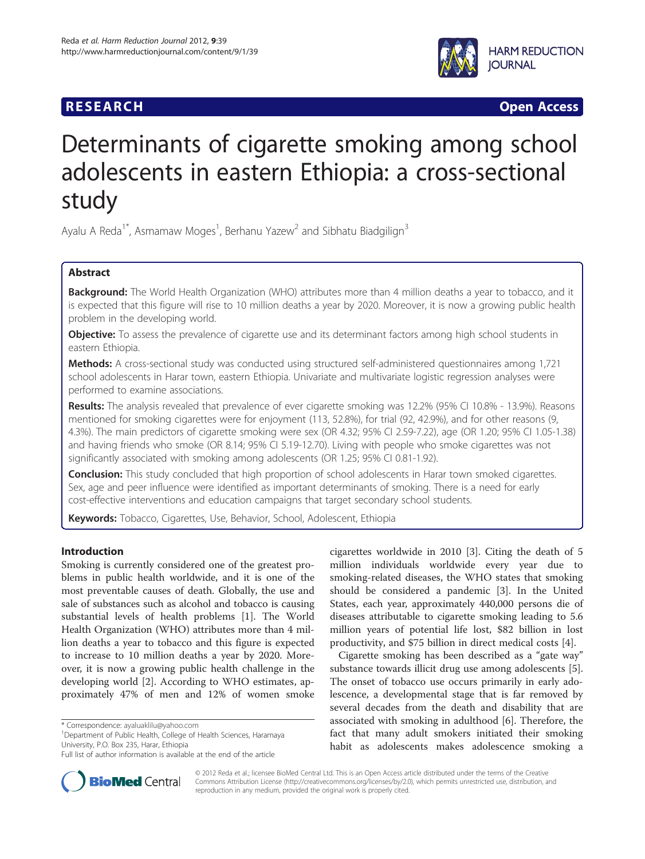# **RESEARCH RESEARCH** *CHECK CHECK CHECK CHECK CHECK CHECK CHECK CHECK CHECK CHECK CHECK CHECK CHECK CHECK CHECK CHECK CHECK CHECK CHECK CHECK CHECK CHECK CHECK CHECK CHECK CHECK CHECK CHECK CHECK CHECK CHECK CHECK CHECK*



# Determinants of cigarette smoking among school adolescents in eastern Ethiopia: a cross-sectional study

Ayalu A Reda<sup>1\*</sup>, Asmamaw Moges<sup>1</sup>, Berhanu Yazew<sup>2</sup> and Sibhatu Biadgilign<sup>3</sup>

# Abstract

Background: The World Health Organization (WHO) attributes more than 4 million deaths a year to tobacco, and it is expected that this figure will rise to 10 million deaths a year by 2020. Moreover, it is now a growing public health problem in the developing world.

Objective: To assess the prevalence of cigarette use and its determinant factors among high school students in eastern Ethiopia.

Methods: A cross-sectional study was conducted using structured self-administered questionnaires among 1,721 school adolescents in Harar town, eastern Ethiopia. Univariate and multivariate logistic regression analyses were performed to examine associations.

Results: The analysis revealed that prevalence of ever cigarette smoking was 12.2% (95% CI 10.8% - 13.9%). Reasons mentioned for smoking cigarettes were for enjoyment (113, 52.8%), for trial (92, 42.9%), and for other reasons (9, 4.3%). The main predictors of cigarette smoking were sex (OR 4.32; 95% CI 2.59-7.22), age (OR 1.20; 95% CI 1.05-1.38) and having friends who smoke (OR 8.14; 95% CI 5.19-12.70). Living with people who smoke cigarettes was not significantly associated with smoking among adolescents (OR 1.25; 95% CI 0.81-1.92).

**Conclusion:** This study concluded that high proportion of school adolescents in Harar town smoked cigarettes. Sex, age and peer influence were identified as important determinants of smoking. There is a need for early cost-effective interventions and education campaigns that target secondary school students.

Keywords: Tobacco, Cigarettes, Use, Behavior, School, Adolescent, Ethiopia

# Introduction

Smoking is currently considered one of the greatest problems in public health worldwide, and it is one of the most preventable causes of death. Globally, the use and sale of substances such as alcohol and tobacco is causing substantial levels of health problems [\[1\]](#page-4-0). The World Health Organization (WHO) attributes more than 4 million deaths a year to tobacco and this figure is expected to increase to 10 million deaths a year by 2020. Moreover, it is now a growing public health challenge in the developing world [\[2](#page-4-0)]. According to WHO estimates, approximately 47% of men and 12% of women smoke

<sup>1</sup>Department of Public Health, College of Health Sciences, Haramaya University, P.O. Box 235, Harar, Ethiopia

cigarettes worldwide in 2010 [[3\]](#page-4-0). Citing the death of 5 million individuals worldwide every year due to smoking-related diseases, the WHO states that smoking should be considered a pandemic [[3\]](#page-4-0). In the United States, each year, approximately 440,000 persons die of diseases attributable to cigarette smoking leading to 5.6 million years of potential life lost, \$82 billion in lost productivity, and \$75 billion in direct medical costs [\[4\]](#page-4-0).

Cigarette smoking has been described as a "gate way" substance towards illicit drug use among adolescents [\[5](#page-4-0)]. The onset of tobacco use occurs primarily in early adolescence, a developmental stage that is far removed by several decades from the death and disability that are associated with smoking in adulthood [[6\]](#page-4-0). Therefore, the fact that many adult smokers initiated their smoking habit as adolescents makes adolescence smoking a



© 2012 Reda et al.; licensee BioMed Central Ltd. This is an Open Access article distributed under the terms of the Creative Commons Attribution License [\(http://creativecommons.org/licenses/by/2.0\)](http://creativecommons.org/licenses/by/2.0), which permits unrestricted use, distribution, and reproduction in any medium, provided the original work is properly cited.

<sup>\*</sup> Correspondence: [ayaluaklilu@yahoo.com](mailto:ayaluaklilu@yahoo.com) <sup>1</sup>

Full list of author information is available at the end of the article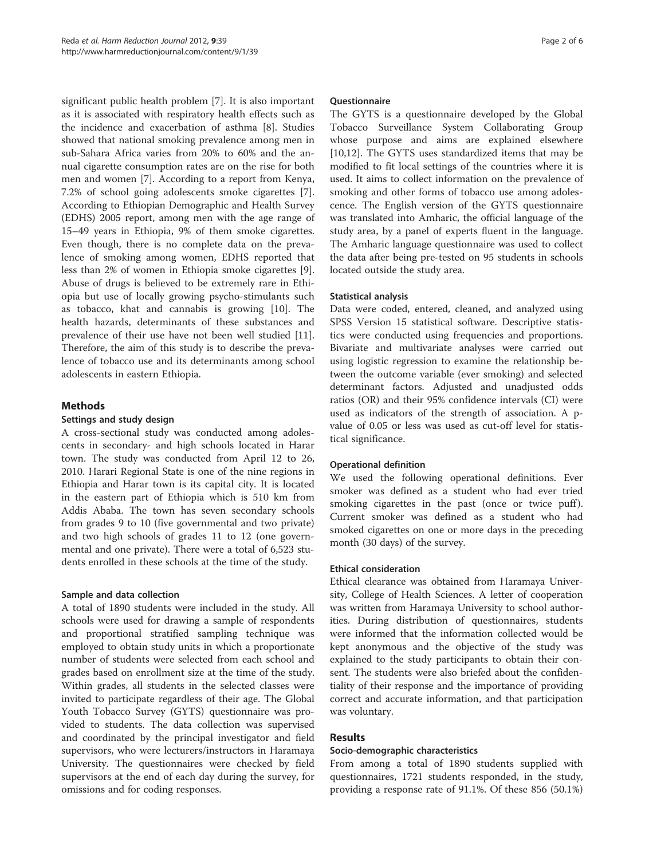significant public health problem [[7](#page-4-0)]. It is also important as it is associated with respiratory health effects such as the incidence and exacerbation of asthma [[8\]](#page-4-0). Studies showed that national smoking prevalence among men in sub-Sahara Africa varies from 20% to 60% and the annual cigarette consumption rates are on the rise for both men and women [[7\]](#page-4-0). According to a report from Kenya, 7.2% of school going adolescents smoke cigarettes [\[7](#page-4-0)]. According to Ethiopian Demographic and Health Survey (EDHS) 2005 report, among men with the age range of 15–49 years in Ethiopia, 9% of them smoke cigarettes. Even though, there is no complete data on the prevalence of smoking among women, EDHS reported that less than 2% of women in Ethiopia smoke cigarettes [\[9](#page-4-0)]. Abuse of drugs is believed to be extremely rare in Ethiopia but use of locally growing psycho-stimulants such as tobacco, khat and cannabis is growing [\[10\]](#page-4-0). The health hazards, determinants of these substances and prevalence of their use have not been well studied [\[11](#page-4-0)]. Therefore, the aim of this study is to describe the prevalence of tobacco use and its determinants among school adolescents in eastern Ethiopia.

# Methods

# Settings and study design

A cross-sectional study was conducted among adolescents in secondary- and high schools located in Harar town. The study was conducted from April 12 to 26, 2010. Harari Regional State is one of the nine regions in Ethiopia and Harar town is its capital city. It is located in the eastern part of Ethiopia which is 510 km from Addis Ababa. The town has seven secondary schools from grades 9 to 10 (five governmental and two private) and two high schools of grades 11 to 12 (one governmental and one private). There were a total of 6,523 students enrolled in these schools at the time of the study.

# Sample and data collection

A total of 1890 students were included in the study. All schools were used for drawing a sample of respondents and proportional stratified sampling technique was employed to obtain study units in which a proportionate number of students were selected from each school and grades based on enrollment size at the time of the study. Within grades, all students in the selected classes were invited to participate regardless of their age. The Global Youth Tobacco Survey (GYTS) questionnaire was provided to students. The data collection was supervised and coordinated by the principal investigator and field supervisors, who were lecturers/instructors in Haramaya University. The questionnaires were checked by field supervisors at the end of each day during the survey, for omissions and for coding responses.

# **Ouestionnaire**

The GYTS is a questionnaire developed by the Global Tobacco Surveillance System Collaborating Group whose purpose and aims are explained elsewhere [[10,12\]](#page-4-0). The GYTS uses standardized items that may be modified to fit local settings of the countries where it is used. It aims to collect information on the prevalence of smoking and other forms of tobacco use among adolescence. The English version of the GYTS questionnaire was translated into Amharic, the official language of the study area, by a panel of experts fluent in the language. The Amharic language questionnaire was used to collect the data after being pre-tested on 95 students in schools located outside the study area.

# Statistical analysis

Data were coded, entered, cleaned, and analyzed using SPSS Version 15 statistical software. Descriptive statistics were conducted using frequencies and proportions. Bivariate and multivariate analyses were carried out using logistic regression to examine the relationship between the outcome variable (ever smoking) and selected determinant factors. Adjusted and unadjusted odds ratios (OR) and their 95% confidence intervals (CI) were used as indicators of the strength of association. A pvalue of 0.05 or less was used as cut-off level for statistical significance.

# Operational definition

We used the following operational definitions. Ever smoker was defined as a student who had ever tried smoking cigarettes in the past (once or twice puff). Current smoker was defined as a student who had smoked cigarettes on one or more days in the preceding month (30 days) of the survey.

# Ethical consideration

Ethical clearance was obtained from Haramaya University, College of Health Sciences. A letter of cooperation was written from Haramaya University to school authorities. During distribution of questionnaires, students were informed that the information collected would be kept anonymous and the objective of the study was explained to the study participants to obtain their consent. The students were also briefed about the confidentiality of their response and the importance of providing correct and accurate information, and that participation was voluntary.

# Results

# Socio-demographic characteristics

From among a total of 1890 students supplied with questionnaires, 1721 students responded, in the study, providing a response rate of 91.1%. Of these 856 (50.1%)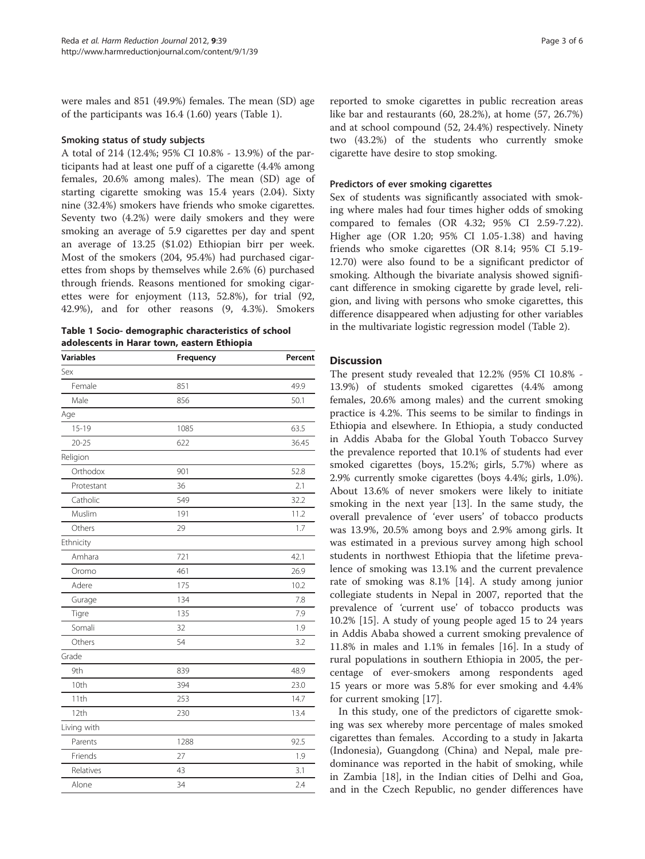were males and 851 (49.9%) females. The mean (SD) age of the participants was 16.4 (1.60) years (Table 1).

#### Smoking status of study subjects

A total of 214 (12.4%; 95% CI 10.8% - 13.9%) of the participants had at least one puff of a cigarette (4.4% among females, 20.6% among males). The mean (SD) age of starting cigarette smoking was 15.4 years (2.04). Sixty nine (32.4%) smokers have friends who smoke cigarettes. Seventy two (4.2%) were daily smokers and they were smoking an average of 5.9 cigarettes per day and spent an average of 13.25 (\$1.02) Ethiopian birr per week. Most of the smokers (204, 95.4%) had purchased cigarettes from shops by themselves while 2.6% (6) purchased through friends. Reasons mentioned for smoking cigarettes were for enjoyment (113, 52.8%), for trial (92, 42.9%), and for other reasons (9, 4.3%). Smokers

Table 1 Socio- demographic characteristics of school adolescents in Harar town, eastern Ethiopia

| <b>Variables</b> | Frequency | Percent |
|------------------|-----------|---------|
| Sex              |           |         |
| Female           | 851       | 49.9    |
| Male             | 856       | 50.1    |
| Age              |           |         |
| $15 - 19$        | 1085      | 63.5    |
| $20 - 25$        | 622       | 36.45   |
| Religion         |           |         |
| Orthodox         | 901       | 52.8    |
| Protestant       | 36        | 2.1     |
| Catholic         | 549       | 32.2    |
| Muslim           | 191       | 11.2    |
| Others           | 29        | 1.7     |
| Ethnicity        |           |         |
| Amhara           | 721       | 42.1    |
| Oromo            | 461       | 26.9    |
| Adere            | 175       | 10.2    |
| Gurage           | 134       | 7.8     |
| Tigre            | 135       | 7.9     |
| Somali           | 32        | 1.9     |
| Others           | 54        | 3.2     |
| Grade            |           |         |
| 9th              | 839       | 48.9    |
| 10th             | 394       | 23.0    |
| 11th             | 253       | 14.7    |
| 12th             | 230       | 13.4    |
| Living with      |           |         |
| Parents          | 1288      | 92.5    |
| Friends          | 27        | 1.9     |
| Relatives        | 43        | 3.1     |
| Alone            | 34        | 2.4     |
|                  |           |         |

reported to smoke cigarettes in public recreation areas like bar and restaurants (60, 28.2%), at home (57, 26.7%) and at school compound (52, 24.4%) respectively. Ninety two (43.2%) of the students who currently smoke cigarette have desire to stop smoking.

### Predictors of ever smoking cigarettes

Sex of students was significantly associated with smoking where males had four times higher odds of smoking compared to females (OR 4.32; 95% CI 2.59-7.22). Higher age (OR 1.20; 95% CI 1.05-1.38) and having friends who smoke cigarettes (OR 8.14; 95% CI 5.19- 12.70) were also found to be a significant predictor of smoking. Although the bivariate analysis showed significant difference in smoking cigarette by grade level, religion, and living with persons who smoke cigarettes, this difference disappeared when adjusting for other variables in the multivariate logistic regression model (Table [2](#page-3-0)).

# **Discussion**

The present study revealed that 12.2% (95% CI 10.8% - 13.9%) of students smoked cigarettes (4.4% among females, 20.6% among males) and the current smoking practice is 4.2%. This seems to be similar to findings in Ethiopia and elsewhere. In Ethiopia, a study conducted in Addis Ababa for the Global Youth Tobacco Survey the prevalence reported that 10.1% of students had ever smoked cigarettes (boys, 15.2%; girls, 5.7%) where as 2.9% currently smoke cigarettes (boys 4.4%; girls, 1.0%). About 13.6% of never smokers were likely to initiate smoking in the next year [\[13\]](#page-4-0). In the same study, the overall prevalence of 'ever users' of tobacco products was 13.9%, 20.5% among boys and 2.9% among girls. It was estimated in a previous survey among high school students in northwest Ethiopia that the lifetime prevalence of smoking was 13.1% and the current prevalence rate of smoking was 8.1% [\[14](#page-4-0)]. A study among junior collegiate students in Nepal in 2007, reported that the prevalence of 'current use' of tobacco products was 10.2% [[15\]](#page-4-0). A study of young people aged 15 to 24 years in Addis Ababa showed a current smoking prevalence of 11.8% in males and 1.1% in females [[16\]](#page-5-0). In a study of rural populations in southern Ethiopia in 2005, the percentage of ever-smokers among respondents aged 15 years or more was 5.8% for ever smoking and 4.4% for current smoking [\[17](#page-5-0)].

In this study, one of the predictors of cigarette smoking was sex whereby more percentage of males smoked cigarettes than females. According to a study in Jakarta (Indonesia), Guangdong (China) and Nepal, male predominance was reported in the habit of smoking, while in Zambia [[18\]](#page-5-0), in the Indian cities of Delhi and Goa, and in the Czech Republic, no gender differences have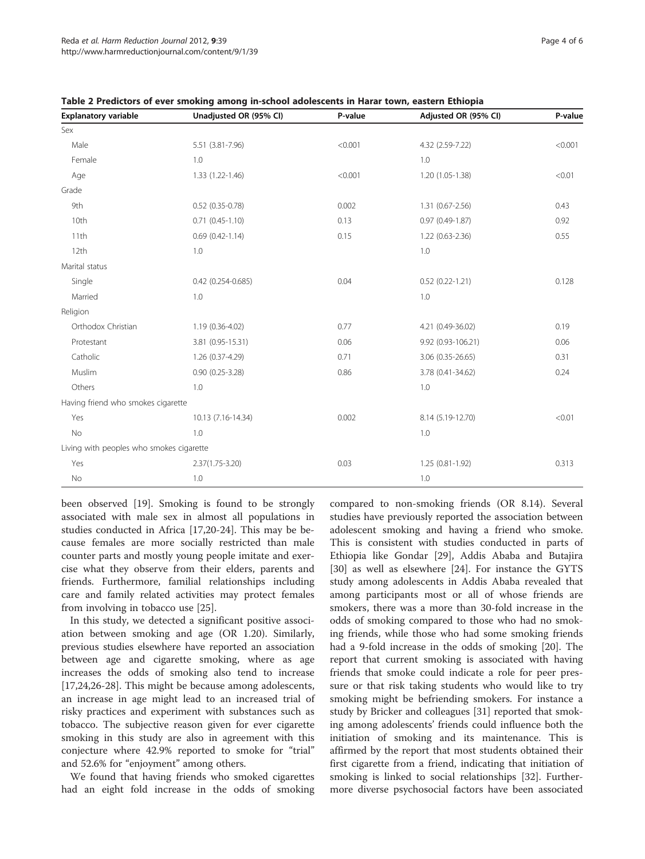| <b>Explanatory variable</b>              | Unadjusted OR (95% CI) | P-value | Adjusted OR (95% CI) | P-value |
|------------------------------------------|------------------------|---------|----------------------|---------|
| Sex                                      |                        |         |                      |         |
| Male                                     | 5.51 (3.81-7.96)       | < 0.001 | 4.32 (2.59-7.22)     | < 0.001 |
| Female                                   | 1.0                    |         | 1.0                  |         |
| Age                                      | 1.33 (1.22-1.46)       | < 0.001 | 1.20 (1.05-1.38)     | < 0.01  |
| Grade                                    |                        |         |                      |         |
| 9th                                      | $0.52$ (0.35-0.78)     | 0.002   | $1.31(0.67 - 2.56)$  | 0.43    |
| 10th                                     | $0.71(0.45-1.10)$      | 0.13    | $0.97(0.49-1.87)$    | 0.92    |
| 11th                                     | $0.69(0.42 - 1.14)$    | 0.15    | $1.22(0.63 - 2.36)$  | 0.55    |
| 12th                                     | 1.0                    |         | 1.0                  |         |
| Marital status                           |                        |         |                      |         |
| Single                                   | $0.42$ (0.254-0.685)   | 0.04    | $0.52(0.22 - 1.21)$  | 0.128   |
| Married                                  | 1.0                    |         | 1.0                  |         |
| Religion                                 |                        |         |                      |         |
| Orthodox Christian                       | 1.19 (0.36-4.02)       | 0.77    | 4.21 (0.49-36.02)    | 0.19    |
| Protestant                               | 3.81 (0.95-15.31)      | 0.06    | 9.92 (0.93-106.21)   | 0.06    |
| Catholic                                 | 1.26 (0.37-4.29)       | 0.71    | 3.06 (0.35-26.65)    | 0.31    |
| Muslim                                   | $0.90(0.25-3.28)$      | 0.86    | 3.78 (0.41-34.62)    | 0.24    |
| Others                                   | 1.0                    |         | 1.0                  |         |
| Having friend who smokes cigarette       |                        |         |                      |         |
| Yes                                      | 10.13 (7.16-14.34)     | 0.002   | 8.14 (5.19-12.70)    | < 0.01  |
| No                                       | 1.0                    |         | 1.0                  |         |
| Living with peoples who smokes cigarette |                        |         |                      |         |
| Yes                                      | $2.37(1.75 - 3.20)$    | 0.03    | $1.25(0.81-1.92)$    | 0.313   |
| No                                       | 1.0                    |         | 1.0                  |         |

<span id="page-3-0"></span>Table 2 Predictors of ever smoking among in-school adolescents in Harar town, eastern Ethiopia

been observed [\[19](#page-5-0)]. Smoking is found to be strongly associated with male sex in almost all populations in studies conducted in Africa [[17,20-24](#page-5-0)]. This may be because females are more socially restricted than male counter parts and mostly young people imitate and exercise what they observe from their elders, parents and friends. Furthermore, familial relationships including care and family related activities may protect females from involving in tobacco use [[25\]](#page-5-0).

In this study, we detected a significant positive association between smoking and age (OR 1.20). Similarly, previous studies elsewhere have reported an association between age and cigarette smoking, where as age increases the odds of smoking also tend to increase [[17,24,26-28\]](#page-5-0). This might be because among adolescents, an increase in age might lead to an increased trial of risky practices and experiment with substances such as tobacco. The subjective reason given for ever cigarette smoking in this study are also in agreement with this conjecture where 42.9% reported to smoke for "trial" and 52.6% for "enjoyment" among others.

We found that having friends who smoked cigarettes had an eight fold increase in the odds of smoking

compared to non-smoking friends (OR 8.14). Several studies have previously reported the association between adolescent smoking and having a friend who smoke. This is consistent with studies conducted in parts of Ethiopia like Gondar [\[29](#page-5-0)], Addis Ababa and Butajira [[30\]](#page-5-0) as well as elsewhere [[24\]](#page-5-0). For instance the GYTS study among adolescents in Addis Ababa revealed that among participants most or all of whose friends are smokers, there was a more than 30-fold increase in the odds of smoking compared to those who had no smoking friends, while those who had some smoking friends had a 9-fold increase in the odds of smoking [\[20](#page-5-0)]. The report that current smoking is associated with having friends that smoke could indicate a role for peer pressure or that risk taking students who would like to try smoking might be befriending smokers. For instance a study by Bricker and colleagues [\[31](#page-5-0)] reported that smoking among adolescents' friends could influence both the initiation of smoking and its maintenance. This is affirmed by the report that most students obtained their first cigarette from a friend, indicating that initiation of smoking is linked to social relationships [[32\]](#page-5-0). Furthermore diverse psychosocial factors have been associated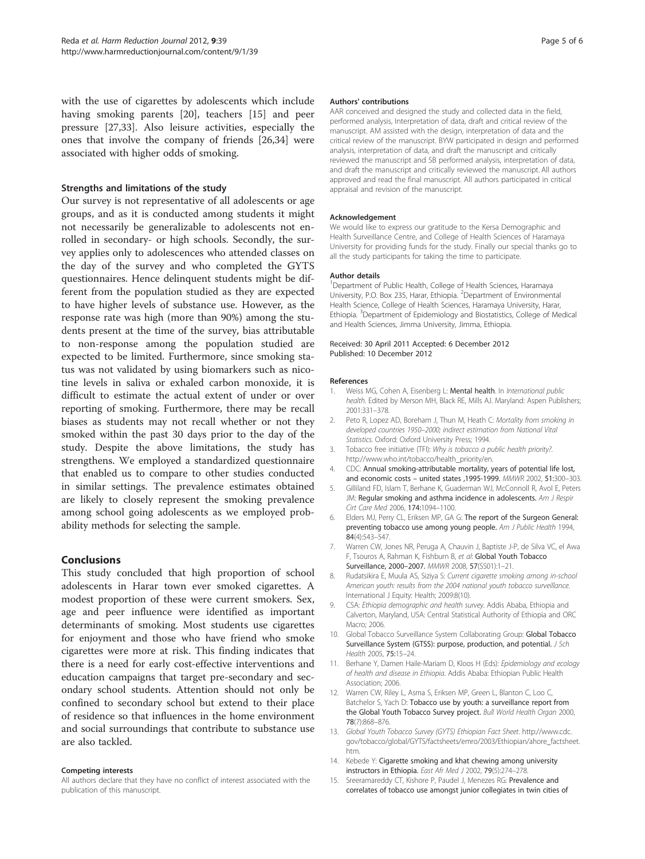<span id="page-4-0"></span>with the use of cigarettes by adolescents which include having smoking parents [\[20](#page-5-0)], teachers [15] and peer pressure [[27,33\]](#page-5-0). Also leisure activities, especially the ones that involve the company of friends [[26](#page-5-0),[34](#page-5-0)] were associated with higher odds of smoking.

# Strengths and limitations of the study

Our survey is not representative of all adolescents or age groups, and as it is conducted among students it might not necessarily be generalizable to adolescents not enrolled in secondary- or high schools. Secondly, the survey applies only to adolescences who attended classes on the day of the survey and who completed the GYTS questionnaires. Hence delinquent students might be different from the population studied as they are expected to have higher levels of substance use. However, as the response rate was high (more than 90%) among the students present at the time of the survey, bias attributable to non-response among the population studied are expected to be limited. Furthermore, since smoking status was not validated by using biomarkers such as nicotine levels in saliva or exhaled carbon monoxide, it is difficult to estimate the actual extent of under or over reporting of smoking. Furthermore, there may be recall biases as students may not recall whether or not they smoked within the past 30 days prior to the day of the study. Despite the above limitations, the study has strengthens. We employed a standardized questionnaire that enabled us to compare to other studies conducted in similar settings. The prevalence estimates obtained are likely to closely represent the smoking prevalence among school going adolescents as we employed probability methods for selecting the sample.

# Conclusions

This study concluded that high proportion of school adolescents in Harar town ever smoked cigarettes. A modest proportion of these were current smokers. Sex, age and peer influence were identified as important determinants of smoking. Most students use cigarettes for enjoyment and those who have friend who smoke cigarettes were more at risk. This finding indicates that there is a need for early cost-effective interventions and education campaigns that target pre-secondary and secondary school students. Attention should not only be confined to secondary school but extend to their place of residence so that influences in the home environment and social surroundings that contribute to substance use are also tackled.

#### Competing interests

All authors declare that they have no conflict of interest associated with the publication of this manuscript.

#### Authors' contributions

AAR conceived and designed the study and collected data in the field, performed analysis, Interpretation of data, draft and critical review of the manuscript. AM assisted with the design, interpretation of data and the critical review of the manuscript. BYW participated in design and performed analysis, interpretation of data, and draft the manuscript and critically reviewed the manuscript and SB performed analysis, interpretation of data, and draft the manuscript and critically reviewed the manuscript. All authors approved and read the final manuscript. All authors participated in critical appraisal and revision of the manuscript.

#### Acknowledgement

We would like to express our gratitude to the Kersa Demographic and Health Surveillance Centre, and College of Health Sciences of Haramaya University for providing funds for the study. Finally our special thanks go to all the study participants for taking the time to participate.

#### Author details

<sup>1</sup>Department of Public Health, College of Health Sciences, Haramaya University, P.O. Box 235, Harar, Ethiopia. <sup>2</sup>Department of Environmental Health Science, College of Health Sciences, Haramaya University, Harar, Ethiopia. <sup>3</sup>Department of Epidemiology and Biostatistics, College of Medical and Health Sciences, Jimma University, Jimma, Ethiopia.

#### Received: 30 April 2011 Accepted: 6 December 2012 Published: 10 December 2012

#### References

- 1. Weiss MG, Cohen A, Eisenberg L: Mental health. In International public health. Edited by Merson MH, Black RE, Mills AJ. Maryland: Aspen Publishers; 2001:331–378.
- 2. Peto R, Lopez AD, Boreham J, Thun M, Heath C: Mortality from smoking in developed countries 1950–2000; indirect estimation from National Vital Statistics. Oxford: Oxford University Press; 1994.
- 3. Tobacco free initiative (TFI): Why is tobacco a public health priority?. [http://www.who.int/tobacco/health\\_priority/en.](http://www.who.int/tobacco/health_priority/en)
- 4. CDC: Annual smoking-attributable mortality, years of potential life lost, and economic costs – united states ,1995-1999. MMWR 2002, 51:300–303.
- 5. Gilliland FD, Islam T, Berhane K, Guaderman WJ, McConnoll R, Avol E, Peters JM: Regular smoking and asthma incidence in adolescents. Am J Respir Cirt Care Med 2006, 174:1094–1100.
- 6. Elders MJ, Perry CL, Eriksen MP, GA G: The report of the Surgeon General: preventing tobacco use among young people. Am J Public Health 1994, 84(4):543–547.
- 7. Warren CW, Jones NR, Peruga A, Chauvin J, Baptiste J-P, de Silva VC, el Awa F, Tsouros A, Rahman K, Fishburn B, et al: Global Youth Tobacco Surveillance, 2000–2007. MMWR 2008, 57(SS01):1–21.
- Rudatsikira E, Muula AS, Siziya S: Current cigarette smoking among in-school American youth: results from the 2004 national youth tobacco surveillance. International J Equity: Health; 2009:8(10).
- 9. CSA: Ethiopia demographic and health survey. Addis Ababa, Ethiopia and Calverton, Maryland, USA: Central Statistical Authority of Ethiopia and ORC Macro; 2006.
- 10. Global Tobacco Surveillance System Collaborating Group: Global Tobacco Surveillance System (GTSS): purpose, production, and potential. J Sch Health 2005, 75:15–24.
- 11. Berhane Y, Damen Haile-Mariam D, Kloos H (Eds): Epidemiology and ecology of health and disease in Ethiopia. Addis Ababa: Ethiopian Public Health Association; 2006.
- 12. Warren CW, Riley L, Asma S, Eriksen MP, Green L, Blanton C, Loo C, Batchelor S, Yach D: Tobacco use by youth: a surveillance report from the Global Youth Tobacco Survey project. Bull World Health Organ 2000, 78(7):868–876.
- 13. Global Youth Tobacco Survey (GYTS) Ethiopian Fact Sheet. [http://www.cdc.](http://www.cdc.gov/tobacco/global/GYTS/factsheets/emro/2003/Ethiopian/ahore_factsheet.htm) [gov/tobacco/global/GYTS/factsheets/emro/2003/Ethiopian/ahore\\_factsheet.](http://www.cdc.gov/tobacco/global/GYTS/factsheets/emro/2003/Ethiopian/ahore_factsheet.htm) [htm](http://www.cdc.gov/tobacco/global/GYTS/factsheets/emro/2003/Ethiopian/ahore_factsheet.htm).
- 14. Kebede Y: Cigarette smoking and khat chewing among university instructors in Ethiopia. East Afr Med J 2002, 79(5):274–278.
- 15. Sreeramareddy CT, Kishore P, Paudel J, Menezes RG: Prevalence and correlates of tobacco use amongst junior collegiates in twin cities of